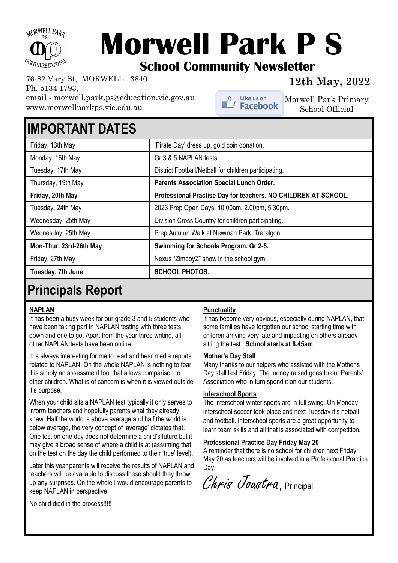

# **Morwell Park P S School Community Newsletter**

Like us on<br>**Facebook** 

**12th May, 2022** 76-82 Vary St, MORWELL. 3840 Ph. 5134 1793, email - morwell.park.ps@education.vic.gov.au www.morwellparkps.vic.edu.au

Morwell Park Primary School Official

### **IMPORTANT DATES**

| Friday, 13th May        | 'Pirate Day' dress up, gold coin donation.                     |
|-------------------------|----------------------------------------------------------------|
| Monday, 16th May        | Gr 3 & 5 NAPLAN tests.                                         |
| Tuesday, 17th May       | District Football/Netball for children participating.          |
| Thursday, 19th May      | <b>Parents Association Special Lunch Order.</b>                |
| Friday, 20th May        | Professional Practise Day for teachers. NO CHILDREN AT SCHOOL. |
| Tuesday, 24th May       | 2023 Prep Open Days. 10.00am, 2.00pm, 5.30pm.                  |
| Wednesday, 25th May     | Division Cross Country for children participating.             |
| Wednesday, 25th May     | Prep Autumn Walk at Newman Park, Traralgon.                    |
| Mon-Thur, 23rd-26th May | Swimming for Schools Program. Gr 2-5.                          |
| Friday, 27th May        | Nexus "ZimboyZ" show in the school gym.                        |
| Tuesday, 7th June       | <b>SCHOOL PHOTOS.</b>                                          |
|                         |                                                                |

### **Principals Report**

#### **NAPLAN**

It has been a busy week for our grade 3 and 5 students who have been taking part in NAPLAN testing with three tests down and one to go. Apart from the year three writing, all other NAPLAN tests have been online.

It is always interesting for me to read and hear media reports related to NAPLAN. On the whole NAPLAN is nothing to fear, it is simply an assessment tool that allows comparison to other children. What is of concern is when it is viewed outside it's purpose.

When your child sits a NAPLAN test typically it only serves to inform teachers and hopefully parents what they already knew. Half the world is above average and half the world is below average, the very concept of 'average' dictates that. One test on one day does not determine a child's future but it may give a broad sense of where a child is at (assuming that on the test on the day the child performed to their 'true' level).

Later this year parents will receive the results of NAPLAN and teachers will be available to discuss these should they throw up any surprises. On the whole I would encourage parents to keep NAPLAN in perspective.

#### **Punctuality**

It has become very obvious, especially during NAPLAN, that some families have forgotten our school starting time with children arriving very late and impacting on others already sitting the test. **School starts at 8.45am**.

#### **Mother's Day Stall**

Many thanks to our helpers who assisted with the Mother's Day stall last Friday. The money raised goes to our Parents' Association who in turn spend it on our students.

#### **Interschool Sports**

The interschool winter sports are in full swing. On Monday interschool soccer took place and next Tuesday it's netball and football. Interschool sports are a great opportunity to learn team skills and all that is associated with competition.

### **Professional Practice Day Friday May 20**

A reminder that there is no school for children next Friday May 20 as teachers will be involved in a Professional Practice Dav.

Chris Joustra, Principal.

No child died in the process!!!!!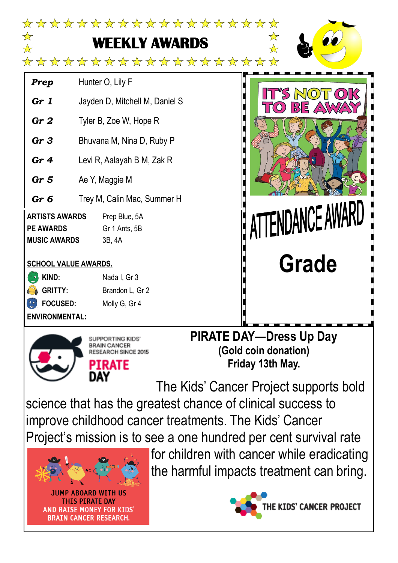

science that has the greatest chance of clinical success to improve childhood cancer treatments. The Kids' Cancer Project's mission is to see a one hundred per cent survival rate



**JUMP ABOARD WITH US THIS PIRATE DAY AND RAISE MONEY FOR KIDS BRAIN CANCER RESEARCH.** 

for children with cancer while eradicating the harmful impacts treatment can bring.